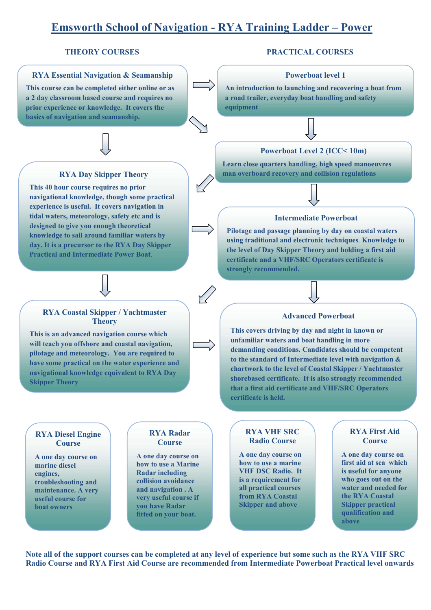# **Emsworth School of Navigation - RYA Training Ladder – Power**

#### **RYA Essential Navigation & Seamanship**

**This course can be completed either online or as a 2 day classroom based course and requires no prior experience or knowledge. It covers the basics of navigation and seamanship.** 

### **RYA Day Skipper Theory**

**This 40 hour course requires no prior navigational knowledge, though some practical experience is useful. It covers navigation in tidal waters, meteorology, safety etc and is designed to give you enough theoretical knowledge to sail around familiar waters by day. It is a precursor to the RYA Day Skipper Practical and Intermediate Power Boat**.



#### **RYA Coastal Skipper / Yachtmaster Theory**

**This is an advanced navigation course which will teach you offshore and coastal navigation, pilotage and meteorology. You are required to have some practical on the water experience and navigational knowledge equivalent to RYA Day Skipper Theory**

#### **THEORY COURSES PRACTICAL COURSES**

#### **Powerboat level 1**

**An introduction to launching and recovering a boat from a road trailer, everyday boat handling and safety equipment**

#### **Powerboat Level 2 (ICC< 10m)**

**Learn close quarters handling, high speed manoeuvres man overboard recovery and collision regulations** 

#### **Intermediate Powerboat**

**Pilotage and passage planning by day on coastal waters using traditional and electronic techniques**. **Knowledge to the level of Day Skipper Theory and holding a first aid certificate and a VHF/SRC Operators certificate is strongly recommended.** 

#### **Advanced Powerboat**

**This covers driving by day and night in known or unfamiliar waters and boat handling in more demanding conditions. Candidates should be competent to the standard of Intermediate level with navigation & chartwork to the level of Coastal Skipper / Yachtmaster shorebased certificate. It is also strongly recommended that a first aid certificate and VHF/SRC Operators certificate is held.** 

#### **RYA Diesel Engine Course**

**A one day course on marine diesel engines, troubleshooting and maintenance. A very useful course for boat owners** 

#### **RYA Radar Course**

**A one day course on how to use a Marine Radar including collision avoidance and navigation . A very useful course if you have Radar fitted on your boat.** 

#### **RYA VHF SRC Radio Course**

**A one day course on how to use a marine VHF DSC Radio. It is a requirement for all practical courses from RYA Coastal Skipper and above** 

### **RYA First Aid Course**

**A one day course on first aid at sea which is useful for anyone who goes out on the water and needed for the RYA Coastal Skipper practical qualification and above**

**Note all of the support courses can be completed at any level of experience but some such as the RYA VHF SRC Radio Course and RYA First Aid Course are recommended from Intermediate Powerboat Practical level onwards**